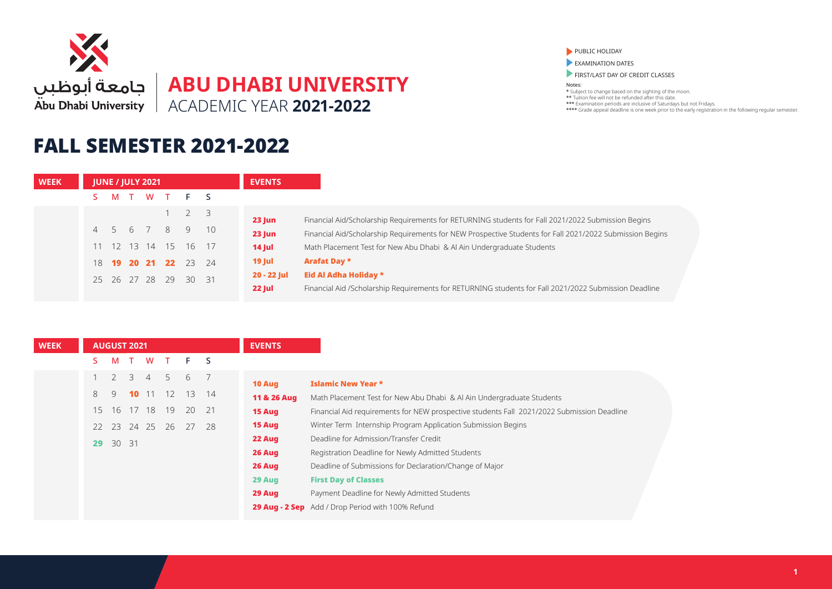

### FALL SEMESTER 2021-2022

PUBLIC HOLIDAY

**EXAMINATION DATES** 

FIRST/LAST DAY OF CREDIT CLASSES

| <b>WEEK</b> |   | <b>JUNE / JULY 2021</b> |                |                      | <b>EVENTS</b> |               |                                                                                                          |
|-------------|---|-------------------------|----------------|----------------------|---------------|---------------|----------------------------------------------------------------------------------------------------------|
|             | M |                         |                | T W T F S            |               |               |                                                                                                          |
|             |   |                         |                | $1 \quad 2 \quad 3$  |               | <b>23 Jun</b> | Financial Aid/Scholarship Requirements for RETURNING students for Fall 2021/2022 Submission Begins       |
|             |   |                         |                | 4 5 6 7 8 9 10       |               | $23$ Jun      | Financial Aid/Scholarship Requirements for NEW Prospective Students for Fall 2021/2022 Submission Begins |
|             |   |                         |                | 11 12 13 14 15 16 17 |               | $14$ Jul      | Math Placement Test for New Abu Dhabi & Al Ain Undergraduate Students                                    |
|             |   |                         | 18 19 20 21 22 |                      | 23 24         | $19$ Jul      | Arafat Day *                                                                                             |
|             |   |                         |                | 25 26 27 28 29 30 31 |               | 20 - 22 Jul   | Eid Al Adha Holiday *                                                                                    |
|             |   |                         |                |                      |               | <b>22 Jul</b> | Financial Aid /Scholarship Requirements for RETURNING students for Fall 2021/2022 Submission Deadline    |

| <b>WEEK</b> |    | <b>AUGUST 2021</b> |                 |                |              |                 |    | <b>EVENTS</b> |                                                                                            |
|-------------|----|--------------------|-----------------|----------------|--------------|-----------------|----|---------------|--------------------------------------------------------------------------------------------|
|             |    | M                  | $\top$          | W              | $\mathbf{T}$ | F <sub>S</sub>  |    |               |                                                                                            |
|             |    | 2                  | $\overline{3}$  | $\overline{4}$ | 5            | 6               |    | 10 Aug        | <b>Islamic New Year *</b>                                                                  |
|             | 8  | 9                  | 10 <sup>1</sup> |                | 11 12        | 13 <sup>7</sup> | 14 | 11 & 26 Aug   | Math Placement Test for New Abu Dhabi & Al Ain Undergraduate Students                      |
|             | 15 |                    |                 | 16 17 18       | - 19         | 20              | 21 | 15 Aug        | Financial Aid requirements for NEW prospective students Fall 2021/2022 Submission Deadline |
|             | 22 | 23 24 25           |                 |                | -26          | 27              | 28 | 15 Aug        | Winter Term Internship Program Application Submission Begins                               |
|             | 29 | 30 31              |                 |                |              |                 |    | 22 Aug        | Deadline for Admission/Transfer Credit                                                     |
|             |    |                    |                 |                |              |                 |    | 26 Aug        | Registration Deadline for Newly Admitted Students                                          |
|             |    |                    |                 |                |              |                 |    | 26 Aug        | Deadline of Submissions for Declaration/Change of Major                                    |
|             |    |                    |                 |                |              |                 |    | 29 Aug        | <b>First Day of Classes</b>                                                                |
|             |    |                    |                 |                |              |                 |    | 29 Aug        | Payment Deadline for Newly Admitted Students                                               |
|             |    |                    |                 |                |              |                 |    |               | 29 Aug - 2 Sep Add / Drop Period with 100% Refund                                          |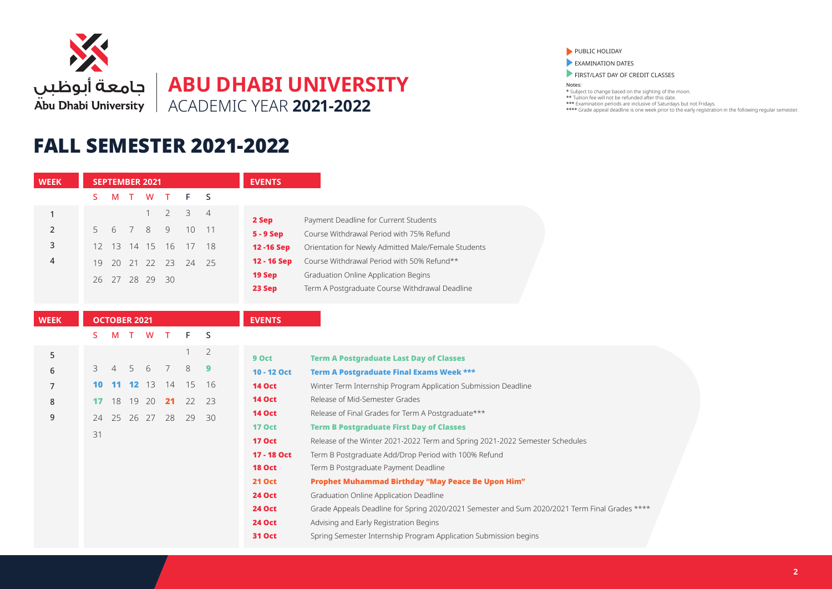

## FALL SEMESTER 2021-2022

| <b>WEEK</b>  |    | <b>SEPTEMBER 2021</b> |          |          |                |    |                | <b>EVENTS</b> |                                                                                               |
|--------------|----|-----------------------|----------|----------|----------------|----|----------------|---------------|-----------------------------------------------------------------------------------------------|
|              | S. | M                     | T        | W        | т              | F  | S              |               |                                                                                               |
| $\mathbf{1}$ |    |                       |          | 1        | $\overline{2}$ | 3  | 4              | 2 Sep         | Payment Deadline for Current Students                                                         |
| 2            | 5  | 6                     | 7        | 8        | 9              | 10 | 11             | 5 - 9 Sep     | Course Withdrawal Period with 75% Refund                                                      |
| 3            | 12 | 13                    | 14       | 15       | 16             | 17 | 18             | 12 - 16 Sep   | Orientation for Newly Admitted Male/Female Students                                           |
| 4            | 19 | 20                    |          | 21 22    | 23             | 24 | 25             | 12 - 16 Sep   | Course Withdrawal Period with 50% Refund**                                                    |
|              |    |                       |          |          |                |    |                | 19 Sep        | <b>Graduation Online Application Begins</b>                                                   |
|              | 26 |                       | 27 28 29 |          | 30             |    |                | 23 Sep        | Term A Postgraduate Course Withdrawal Deadline                                                |
|              |    |                       |          |          |                |    |                |               |                                                                                               |
| <b>WEEK</b>  |    | <b>OCTOBER 2021</b>   |          |          |                |    |                | <b>EVENTS</b> |                                                                                               |
|              | S. | M                     | $\top$   | <b>W</b> | $\top$         | F  | S              |               |                                                                                               |
| 5            |    |                       |          |          |                |    | $\overline{2}$ | 9 Oct         | <b>Term A Postgraduate Last Day of Classes</b>                                                |
| 6            | 3  | 4                     | 5        | 6        | 7              | 8  | 9              | 10 - 12 Oct   | <b>Term A Postgraduate Final Exams Week ***</b>                                               |
| 7            | 10 |                       | 12       | -13      | 14             | 15 | 16             | <b>14 Oct</b> | Winter Term Internship Program Application Submission Deadline                                |
| 8            | 17 | 18                    | 19       | - 20     | 21             | 22 | 23             | <b>14 Oct</b> | Release of Mid-Semester Grades                                                                |
| 9            |    |                       |          |          |                |    |                | <b>14 Oct</b> | Release of Final Grades for Term A Postgraduate***                                            |
|              | 24 | 25                    | 26 27    |          | 28             | 29 | 30             | <b>17 Oct</b> | <b>Term B Postgraduate First Day of Classes</b>                                               |
|              | 31 |                       |          |          |                |    |                | <b>17 Oct</b> | Release of the Winter 2021-2022 Term and Spring 2021-2022 Semester Schedules                  |
|              |    |                       |          |          |                |    |                | 17 - 18 Oct   | Term B Postgraduate Add/Drop Period with 100% Refund                                          |
|              |    |                       |          |          |                |    |                | <b>18 Oct</b> | Term B Postgraduate Payment Deadline                                                          |
|              |    |                       |          |          |                |    |                | <b>21 Oct</b> | Prophet Muhammad Birthday "May Peace Be Upon Him"                                             |
|              |    |                       |          |          |                |    |                | <b>24 Oct</b> | Graduation Online Application Deadline                                                        |
|              |    |                       |          |          |                |    |                | <b>24 Oct</b> | Grade Appeals Deadline for Spring 2020/2021 Semester and Sum 2020/2021 Term Final Grades **** |
|              |    |                       |          |          |                |    |                | <b>24 Oct</b> | Advising and Early Registration Begins                                                        |
|              |    |                       |          |          |                |    |                | <b>31 Oct</b> | Spring Semester Internship Program Application Submission begins                              |

#### PUBLIC HOLIDAY

**EXAMINATION DATES** 

FIRST/LAST DAY OF CREDIT CLASSES

Notes: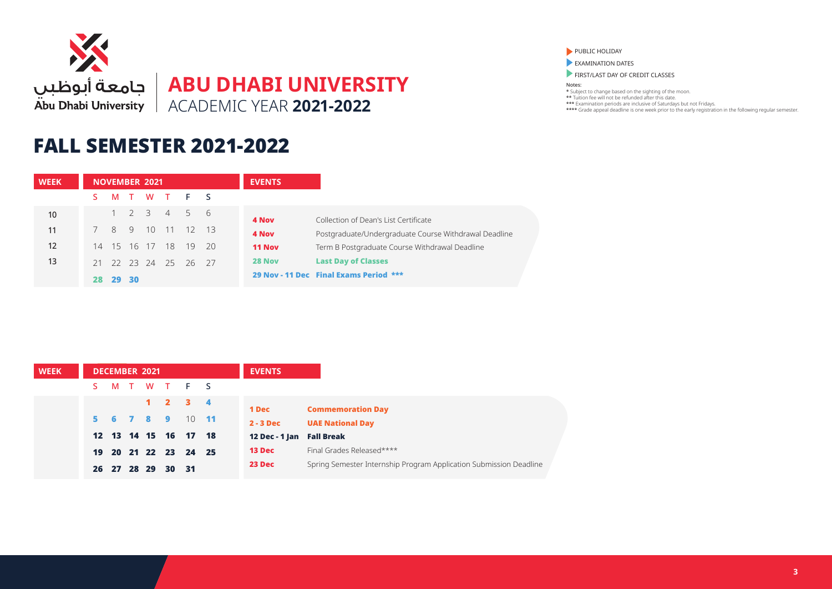

## FALL SEMESTER 2021-2022

| <b>WEEK</b> |    |                |      | <b>NOVEMBER 2021</b> |                      |            |    | <b>EVENTS</b> |                                                       |
|-------------|----|----------------|------|----------------------|----------------------|------------|----|---------------|-------------------------------------------------------|
|             |    | M              |      |                      | TWTFS                |            |    |               |                                                       |
| 10          |    |                |      |                      | $1 \t2 \t3 \t4$      | $5\quad 6$ |    | 4 Nov         | Collection of Dean's List Certificate                 |
| 11          |    | 8 <sup>2</sup> | 9    |                      | 10 11                | 12 13      |    | 4 Nov         | Postgraduate/Undergraduate Course Withdrawal Deadline |
| 12          |    |                |      | 14 15 16 17          | 18                   | $-19$      | 20 | <b>11 Nov</b> | Term B Postgraduate Course Withdrawal Deadline        |
| 13          |    |                |      |                      | 21 22 23 24 25 26 27 |            |    | 28 Nov        | <b>Last Day of Classes</b>                            |
|             | 28 | 29             | - 30 |                      |                      |            |    |               | 29 Nov - 11 Dec Final Exams Period ***                |

| <b>WEEK</b> |    |  | <b>DECEMBER 2021</b> |       |                             | <b>EVENTS</b>             |                                                                    |
|-------------|----|--|----------------------|-------|-----------------------------|---------------------------|--------------------------------------------------------------------|
|             | S. |  |                      |       | MTWTFS                      |                           |                                                                    |
|             |    |  |                      |       | $1 \quad 2 \quad 3 \quad 4$ | 1 Dec                     | <b>Commemoration Day</b>                                           |
|             |    |  |                      |       | 5 6 7 8 9 10 11             | $2 - 3$ Dec               | <b>UAE National Day</b>                                            |
|             |    |  |                      |       | 12  13  14  15  16  17  18  | 12 Dec - 1 Jan Fall Break |                                                                    |
|             |    |  |                      |       | 19 20 21 22 23 24 25        | 13 Dec                    | Final Grades Released****                                          |
|             |    |  | 26 27 28 29          | 30 31 |                             | 23 Dec                    | Spring Semester Internship Program Application Submission Deadline |

PUBLIC HOLIDAY

**EXAMINATION DATES** 

FIRST/LAST DAY OF CREDIT CLASSES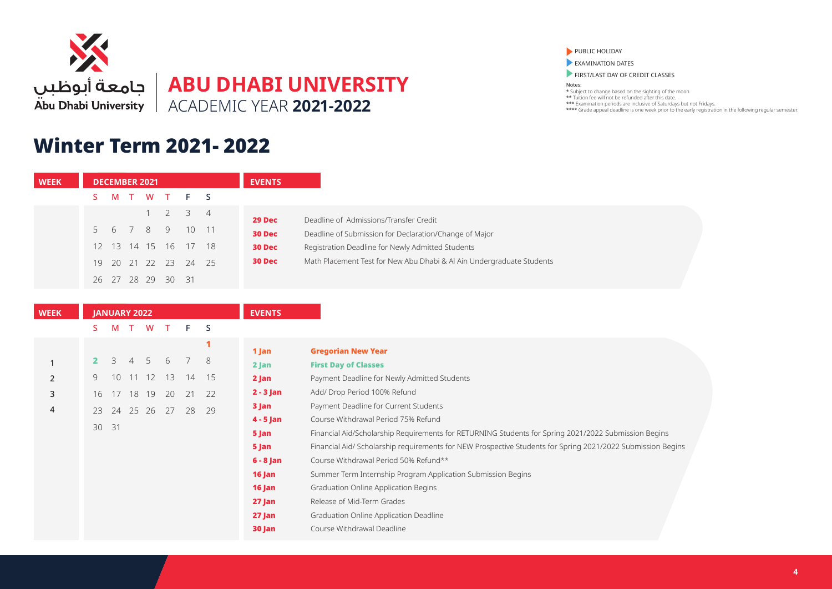

## Winter Term 2021- 2022

PUBLIC HOLIDAY

**EXAMINATION DATES** 

FIRST/LAST DAY OF CREDIT CLASSES

| <b>WEEK</b> |              | <b>DECEMBER 2021</b> |        |             |                    |    |                | <b>EVENTS</b> |                                                                                                             |
|-------------|--------------|----------------------|--------|-------------|--------------------|----|----------------|---------------|-------------------------------------------------------------------------------------------------------------|
|             | S.           | M                    | $\top$ | W           | $\top$             | E  | S              |               |                                                                                                             |
|             |              |                      |        | 1           | $\overline{2}$     | 3  | $\overline{4}$ | 29 Dec        | Deadline of Admissions/Transfer Credit                                                                      |
|             | 5            | 6                    | 7      | 8           | 9                  | 10 | 11             | 30 Dec        | Deadline of Submission for Declaration/Change of Major                                                      |
|             | 12           | 13                   |        | 14 15       | 16                 | 17 | 18             | 30 Dec        | Registration Deadline for Newly Admitted Students                                                           |
|             | 19           |                      |        | 20 21 22 23 |                    | 24 | 25             | 30 Dec        | Math Placement Test for New Abu Dhabi & Al Ain Undergraduate Students                                       |
|             |              |                      |        |             |                    |    |                |               |                                                                                                             |
|             | 26           |                      |        |             | 27  28  29  30  31 |    |                |               |                                                                                                             |
|             |              |                      |        |             |                    |    |                |               |                                                                                                             |
| <b>WEEK</b> |              | <b>JANUARY 2022</b>  |        |             |                    |    |                | <b>EVENTS</b> |                                                                                                             |
|             | S.           | M                    |        | T W         | T                  | F  | S              |               |                                                                                                             |
|             |              |                      |        |             |                    |    | 1              | 1 Jan         | <b>Gregorian New Year</b>                                                                                   |
| 1           | $\mathbf{2}$ | 3                    | 4      | 5           | 6                  | 7  | 8              | $2$ Jan       | <b>First Day of Classes</b>                                                                                 |
| 2           | 9            |                      |        | 10 11 12 13 |                    | 14 | 15             | 2 Jan         | Payment Deadline for Newly Admitted Students                                                                |
| 3           | 16           | 17                   |        | 18 19       | 20                 | 21 | 22             | $2 - 3$ Jan   | Add/ Drop Period 100% Refund                                                                                |
| 4           | 23           |                      |        | 24 25 26 27 |                    | 28 | 29             | 3 Jan         | Payment Deadline for Current Students                                                                       |
|             | 30 31        |                      |        |             |                    |    |                | $4 - 5$ Jan   | Course Withdrawal Period 75% Refund                                                                         |
|             |              |                      |        |             |                    |    |                | 5 Jan         | Financial Aid/Scholarship Requirements for RETURNING Students for Spring 2021/2022 Submission Begins        |
|             |              |                      |        |             |                    |    |                | 5 Jan         | Financial Aid/ Scholarship requirements for NEW Prospective Students for Spring 2021/2022 Submission Begins |
|             |              |                      |        |             |                    |    |                | $6 - 8$ Jan   | Course Withdrawal Period 50% Refund**                                                                       |
|             |              |                      |        |             |                    |    |                | 16 Jan        | Summer Term Internship Program Application Submission Begins                                                |
|             |              |                      |        |             |                    |    |                | 16 Jan        | Graduation Online Application Begins                                                                        |
|             |              |                      |        |             |                    |    |                | 27 Jan        | Release of Mid-Term Grades                                                                                  |
|             |              |                      |        |             |                    |    |                | 27 Jan        | Graduation Online Application Deadline                                                                      |
|             |              |                      |        |             |                    |    |                | 30 Jan        | Course Withdrawal Deadline                                                                                  |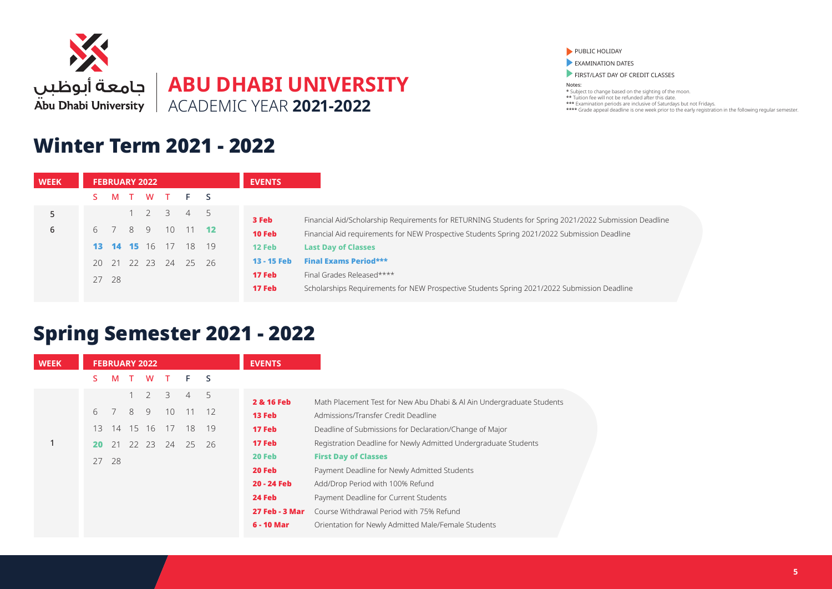

### Winter Term 2021 - 2022

PUBLIC HOLIDAY

EXAMINATION DATES

FIRST/LAST DAY OF CREDIT CLASSES

Notes: \* Subject to change based on the sighting of the moon. \*\* Tuition fee will not be refunded after this date.

\*\*\* Examination periods are inclusive of Saturdays but not Fridays. \*\*\*\* Grade appeal deadline is one week prior to the early registration in the following regular semester.

| <b>WEEK</b> | <b>FEBRUARY 2022</b>           | <b>EVENTS</b>                                                                                                   |
|-------------|--------------------------------|-----------------------------------------------------------------------------------------------------------------|
|             | W T F S<br>M                   |                                                                                                                 |
| 5           | $1 \quad 2 \quad 3$<br>4 5     | 3 Feb<br>Financial Aid/Scholarship Requirements for RETURNING Students for Spring 2021/2022 Submission Deadline |
| 6           | 6 7 8 9 10<br>$11$ 12          | 10 Feb<br>Financial Aid requirements for NEW Prospective Students Spring 2021/2022 Submission Deadline          |
|             | <b>13 14 15</b> 16 17<br>18 19 | 12 Feb<br><b>Last Day of Classes</b>                                                                            |
|             | 20 21 22 23<br>24<br>25 26     | <b>Final Exams Period***</b><br>13 - 15 Feb                                                                     |
|             | 27 28                          | 17 Feb<br>Final Grades Released****                                                                             |
|             |                                | 17 Feb<br>Scholarships Requirements for NEW Prospective Students Spring 2021/2022 Submission Deadline           |

# Spring Semester 2021 - 2022

| <b>WEEK</b> |    |    |        | <b>FEBRUARY 2022</b> |    |    |     | <b>EVENTS</b>         |                                                                       |
|-------------|----|----|--------|----------------------|----|----|-----|-----------------------|-----------------------------------------------------------------------|
|             | S. | м  | $\top$ | W                    | T  | F. | -S  |                       |                                                                       |
|             |    |    |        | $\overline{2}$       | 3  | 4  | 5   | 2 & 16 Feb            | Math Placement Test for New Abu Dhabi & Al Ain Undergraduate Students |
|             | 6  |    | 8      | 9                    | 10 | 11 | 12  | 13 Feb                | Admissions/Transfer Credit Deadline                                   |
|             | 13 | 14 |        | 15 16                | 17 | 18 | 19  | 17 Feb                | Deadline of Submissions for Declaration/Change of Major               |
|             | 20 | 21 |        | 22 23                | 24 | 25 | -26 | 17 Feb                | Registration Deadline for Newly Admitted Undergraduate Students       |
|             | 27 | 28 |        |                      |    |    |     | 20 Feb                | <b>First Day of Classes</b>                                           |
|             |    |    |        |                      |    |    |     | 20 Feb                | Payment Deadline for Newly Admitted Students                          |
|             |    |    |        |                      |    |    |     | 20 - 24 Feb           | Add/Drop Period with 100% Refund                                      |
|             |    |    |        |                      |    |    |     | 24 Feb                | Payment Deadline for Current Students                                 |
|             |    |    |        |                      |    |    |     | <b>27 Feb - 3 Mar</b> | Course Withdrawal Period with 75% Refund                              |
|             |    |    |        |                      |    |    |     | 6 - 10 Mar            | Orientation for Newly Admitted Male/Female Students                   |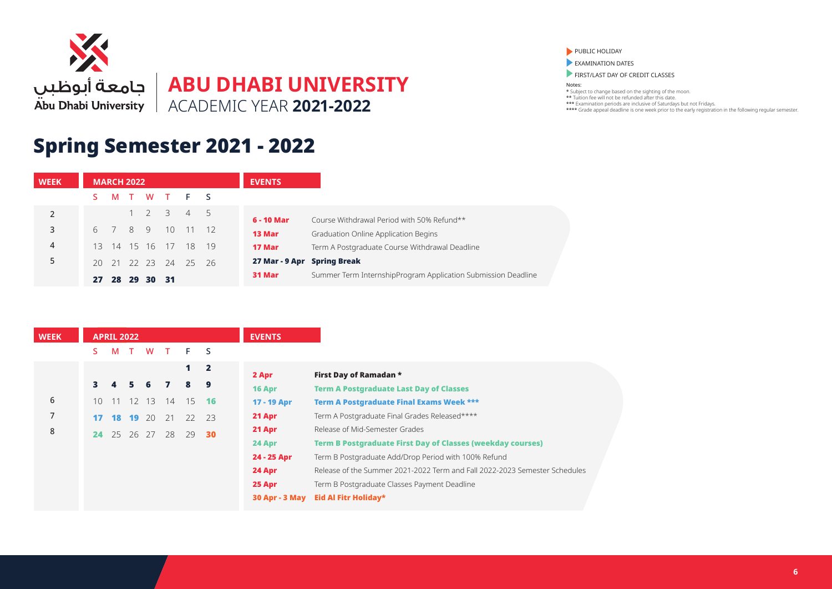

# Spring Semester 2021 - 2022

| <b>WEEK</b>    |        | <b>MARCH 2022</b> |    |    |                |                                     |    | <b>EVENTS</b>               |                                                               |
|----------------|--------|-------------------|----|----|----------------|-------------------------------------|----|-----------------------------|---------------------------------------------------------------|
|                |        |                   |    |    |                | M T W T F S                         |    |                             |                                                               |
| $\overline{2}$ |        |                   |    |    |                | $1 \quad 2 \quad 3 \quad 4 \quad 5$ |    | 6 - 10 Mar                  | Course Withdrawal Period with 50% Refund**                    |
| 3              | 6      | 7 8 9             |    |    | 10             | 11                                  |    | 13 Mar                      | Graduation Online Application Begins                          |
| 4              | 13     |                   |    |    | 14 15 16 17 18 |                                     | 19 | 17 Mar                      | Term A Postgraduate Course Withdrawal Deadline                |
| 5              | $20 -$ |                   |    |    |                | 21 22 23 24 25 26                   |    | 27 Mar - 9 Apr Spring Break |                                                               |
|                | 27     | 28                | 29 | 30 | - 31           |                                     |    | 31 Mar                      | Summer Term InternshipProgram Application Submission Deadline |

| <b>WEEK</b> |    | <b>APRIL 2022</b> |          |    |              |              |              | <b>EVENTS</b>         |                                                                            |
|-------------|----|-------------------|----------|----|--------------|--------------|--------------|-----------------------|----------------------------------------------------------------------------|
|             | S. | M                 |          | W  | $\mathbf{T}$ | F            | <sub>S</sub> |                       |                                                                            |
|             |    |                   |          |    |              | $\mathbf{1}$ | $\mathbf{2}$ | 2 Apr                 | First Day of Ramadan *                                                     |
|             |    | 4                 | 5.       | -6 | $\mathbf{z}$ | 8            | 9            | 16 Apr                | <b>Term A Postgraduate Last Day of Classes</b>                             |
| 6           | 10 | 11                | 12       | 13 | 14           | 15           | - 16         | 17 - 19 Apr           | <b>Term A Postgraduate Final Exams Week ***</b>                            |
| 7           | 17 |                   | 18 19    | 20 | 21           | 22 23        |              | 21 Apr                | Term A Postgraduate Final Grades Released****                              |
| 8           | 24 |                   | 25 26 27 |    | 28           | 29           | 30           | 21 Apr                | Release of Mid-Semester Grades                                             |
|             |    |                   |          |    |              |              |              | 24 Apr                | <b>Term B Postgraduate First Day of Classes (weekday courses)</b>          |
|             |    |                   |          |    |              |              |              | 24 - 25 Apr           | Term B Postgraduate Add/Drop Period with 100% Refund                       |
|             |    |                   |          |    |              |              |              | 24 Apr                | Release of the Summer 2021-2022 Term and Fall 2022-2023 Semester Schedules |
|             |    |                   |          |    |              |              |              | 25 Apr                | Term B Postgraduate Classes Payment Deadline                               |
|             |    |                   |          |    |              |              |              | <b>30 Apr - 3 May</b> | Eid Al Fitr Holiday*                                                       |

PUBLIC HOLIDAY

**EXAMINATION DATES** 

FIRST/LAST DAY OF CREDIT CLASSES

Notes: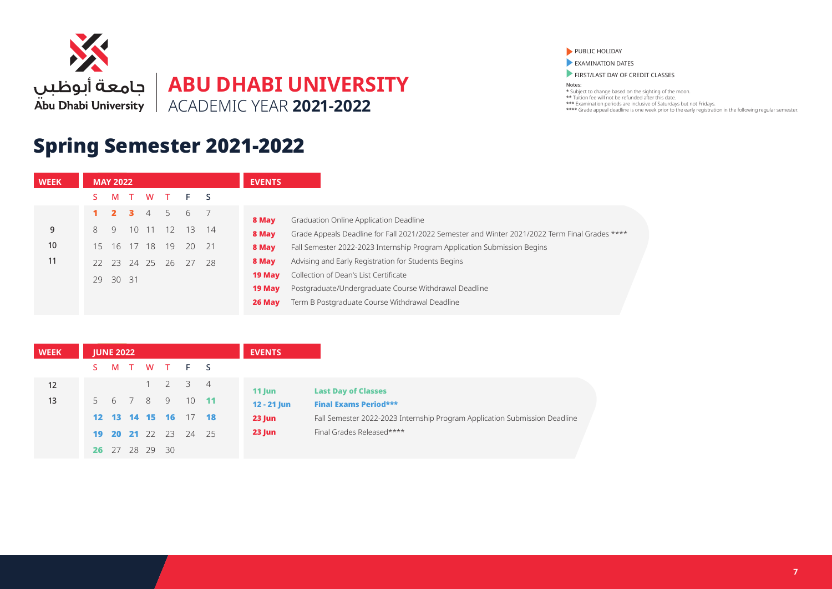

**EVENTS**

# Spring Semester 2021-2022

**MAY 2022**

**WEEK**

PUBLIC HOLIDAY

**EXAMINATION DATES** 

FIRST/LAST DAY OF CREDIT CLASSES

Notes:

|    | M        |              |                | TWTFS          |       |               |               |                                                                                                |
|----|----------|--------------|----------------|----------------|-------|---------------|---------------|------------------------------------------------------------------------------------------------|
|    |          | $\mathbf{R}$ | $\overline{4}$ | $5 -$          | 6     |               | 8 May         | Graduation Online Application Deadline                                                         |
| 9  | 9        |              |                | 10 11 12       |       | $13 \quad 14$ | 8 May         | Grade Appeals Deadline for Fall 2021/2022 Semester and Winter 2021/2022 Term Final Grades **** |
| 10 |          |              |                | 15 16 17 18 19 | 20 21 |               | 8 May         | Fall Semester 2022-2023 Internship Program Application Submission Begins                       |
| 11 | 22 23    |              | 24 25 26       |                | - 27  | - 28          | 8 May         | Advising and Early Registration for Students Begins                                            |
|    | 29 30 31 |              |                |                |       |               | 19 May        | Collection of Dean's List Certificate                                                          |
|    |          |              |                |                |       |               | <b>19 May</b> | Postgraduate/Undergraduate Course Withdrawal Deadline                                          |
|    |          |              |                |                |       |               | 26 May        | Term B Postgraduate Course Withdrawal Deadline                                                 |
|    |          |              |                |                |       |               |               |                                                                                                |

| <b>WEEK</b> | <b>JUNE 2022</b> |                    |             |         |      | <b>EVENTS</b> |                                                                            |
|-------------|------------------|--------------------|-------------|---------|------|---------------|----------------------------------------------------------------------------|
|             |                  |                    |             | MTWTFS  |      |               |                                                                            |
| 12          |                  |                    | $1 \quad 2$ | 3 4     |      | $11$ Jun      | <b>Last Day of Classes</b>                                                 |
| 13          |                  | 5 6 7 8 9          |             | $10$ 11 |      | $12 - 21$ Jun | <b>Final Exams Period***</b>                                               |
|             |                  | 12  13  14  15  16 |             | 17 18   |      | $23$ Jun      | Fall Semester 2022-2023 Internship Program Application Submission Deadline |
|             |                  | 19 20 21 22 23     |             | 24      | - 25 | $23$ Jun      | Final Grades Released****                                                  |
|             | <b>26</b> 27     | 28 29 30           |             |         |      |               |                                                                            |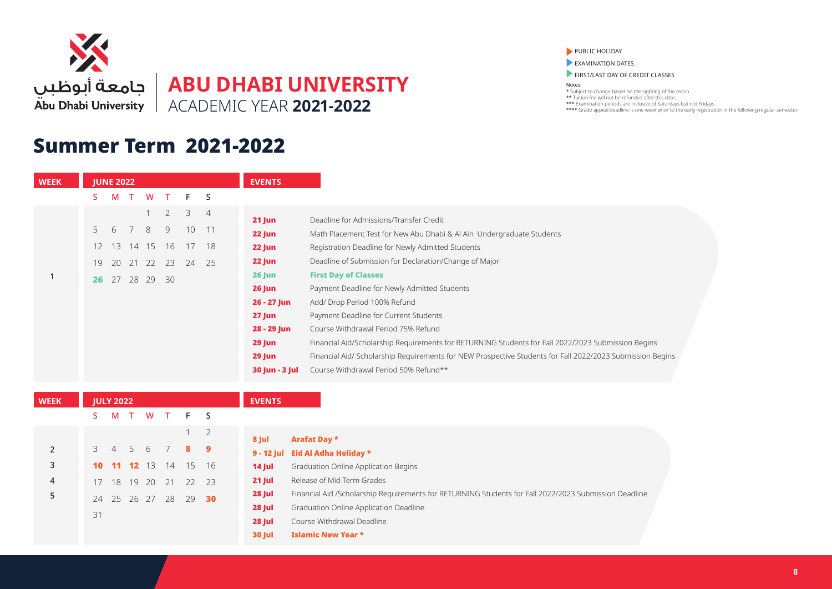

#### Summer Term 2021-2022

PUBLIC HOLIDAY

**EXAMINATION DATES** 

FIRST/LAST DAY OF CREDIT CLASSES

| <b>WEEK</b> | <b>JUNE 2022</b>  |    |          |          |                |    |                | <b>EVENTS</b>  |                                                                                                           |
|-------------|-------------------|----|----------|----------|----------------|----|----------------|----------------|-----------------------------------------------------------------------------------------------------------|
|             |                   | M  | $\top$   | W        | $\top$         | F. | <sub>S</sub>   |                |                                                                                                           |
|             |                   |    |          |          | $\overline{2}$ | 3  | $\overline{4}$ | $21$ Jun       | Deadline for Admissions/Transfer Credit                                                                   |
|             | 5                 | 6  | 7        | 8        | 9              | 10 |                | 22 Jun         | Math Placement Test for New Abu Dhabi & Al Ain Undergraduate Students                                     |
|             | $12 \overline{ }$ |    | 13 14 15 |          | 16             | 17 | 18             | 22 Jun         | Registration Deadline for Newly Admitted Students                                                         |
|             | 19                | 20 | 21       | 22       | 23             | 24 | 25             | 22 Jun         | Deadline of Submission for Declaration/Change of Major                                                    |
|             | 26                |    |          | 27 28 29 | - 30           |    |                | <b>26 Jun</b>  | <b>First Day of Classes</b>                                                                               |
|             |                   |    |          |          |                |    |                | <b>26 Jun</b>  | Payment Deadline for Newly Admitted Students                                                              |
|             |                   |    |          |          |                |    |                | 26 - 27 Jun    | Add/ Drop Period 100% Refund                                                                              |
|             |                   |    |          |          |                |    |                | 27 Jun         | Payment Deadline for Current Students                                                                     |
|             |                   |    |          |          |                |    |                | 28 - 29 Jun    | Course Withdrawal Period 75% Refund                                                                       |
|             |                   |    |          |          |                |    |                | 29 Jun         | Financial Aid/Scholarship Requirements for RETURNING Students for Fall 2022/2023 Submission Begins        |
|             |                   |    |          |          |                |    |                | <b>29 Jun</b>  | Financial Aid/ Scholarship Requirements for NEW Prospective Students for Fall 2022/2023 Submission Begins |
|             |                   |    |          |          |                |    |                | 30 Jun - 3 Jul | Course Withdrawal Period 50% Refund**                                                                     |

| <b>WEEK</b>    |               | <b>JULY 2022</b> |             |                |                |    | <b>EVENTS</b> |
|----------------|---------------|------------------|-------------|----------------|----------------|----|---------------|
|                | S.            | М                |             |                | T W T F S      |    |               |
|                |               |                  |             |                | 1              | 2  | 8 Jul         |
| 2              | $\mathcal{E}$ |                  |             | 4 5 6 7 8      |                | 9  | 9 - 12 Ju     |
| 3              | 10            |                  | 11 12 13 14 |                | 15 16          |    | 14 Jul        |
| $\overline{4}$ | 17            |                  |             |                | 18 19 20 21 22 | 73 | 21 Jul        |
| 5              | 24            |                  |             | 25 26 27 28 29 |                | 30 | 28 Jul        |
|                | 31            |                  |             |                |                |    | 28 Jul        |
|                |               |                  |             |                |                |    | 28 Jul        |

| 8 Jul         | <b>Arafat Day *</b>                                                                                   |
|---------------|-------------------------------------------------------------------------------------------------------|
|               | 9 - 12 Jul Eid Al Adha Holiday *                                                                      |
| $14$ Jul      | Graduation Online Application Begins                                                                  |
| $21$ Jul      | Release of Mid-Term Grades                                                                            |
| <b>28 Jul</b> | Financial Aid /Scholarship Requirements for RETURNING Students for Fall 2022/2023 Submission Deadline |
| <b>28 Jul</b> | Graduation Online Application Deadline                                                                |
| <b>28 Jul</b> | Course Withdrawal Deadline                                                                            |
| <b>30 Jul</b> | <b>Islamic New Year *</b>                                                                             |